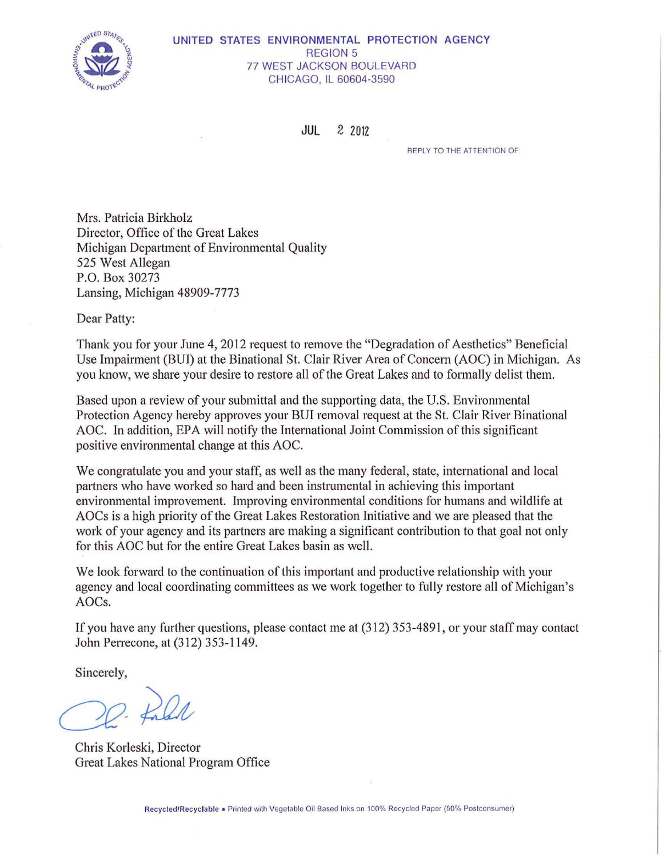

#### UNITED STATES ENVIRONMENTAL PROTECTION AGENCY REGION 5 **77 WEST JACKSON BOULEVARD** CHICAGO, IL 60604-3590

JUL 2 2012

REPLY TO THE ATTENTION OF

Mrs. Patricia Birkholz Director, Office of the Great Lakes Michigan Department of Environmental Quality 525 West Allegan P.O. Box 30273 Lansing, Michigan 48909-7773

Dear Patty:

Thank you for your June 4, 2012 request to remove the "Degradation of Aesthetics" Beneficial Use Impairment (BUI) at the Binational St. Clair River Area of Concern (AOC) in Michigan. As you know, we share your desire to restore all of the Great Lakes and to formally delist them.

Based upon a review of your submittal and the supporting data, the U.S. Environmental Protection Agency hereby approves your BUI removal request at the St. Clair River Binational AOC. In addition, EPA will notify the International Joint Commission of this significant positive environmental change at this AOC.

We congratulate you and your staff, as well as the many federal, state, international and local partners who have worked so hard and been instrumental in achieving this important environmental improvement. Improving environmental conditions for humans and wildlife at AOCs is a high priority of the Great Lakes Restoration Initiative and we are pleased that the work of your agency and its partners are making a significant contribution to that goal not only for this AOC but for the entire Great Lakes basin as well.

We look forward to the continuation of this important and productive relationship with your agency and local coordinating committees as we work together to fully restore all of Michigan's AOCs.

If you have any further questions, please contact me at (312) 353-4891, or your staff may contact John Perrecone, at (312) 353-1149.

Sincerely,

2. fald

Chris Korleski, Director Great Lakes National Program Office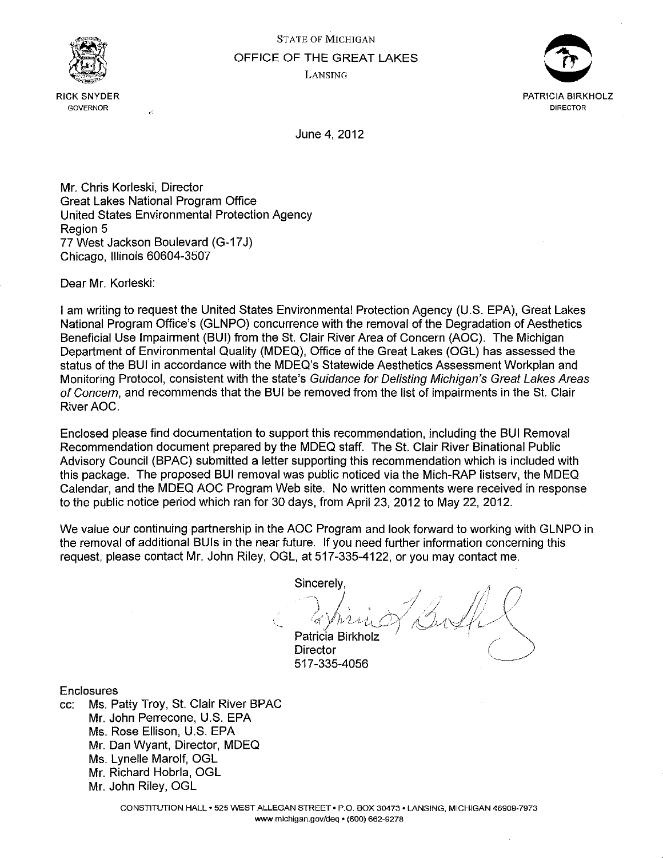

RICK SNYDER **GOVERNOR** 



June 4, 2012

Mr. Chris Korleski, Director Great Lakes National Program Office United States Environmental Protection Agency Region 5 77 West Jackson Boulevard (G-17 J) Chicago, Illinois 60604-3507

Dear Mr. Korleski:

I am writing to request the United States Environmental Protection Agency (U.S. EPA}, Great Lakes National Program Office's (GLNPO) concurrence with the removal of the Degradation of Aesthetics Beneficial Use Impairment (BUI) from the St. Clair River Area of Concern (AOC). The Michigan Department of Environmental Quality (MDEQ), Office of the Great Lakes (OGL} has assessed the status of the BUI in accordance with the MDEQ's Statewide Aesthetics Assessment Workplan and Monitoring Protocol, consistent with the state's Guidance for Delisting Michigan's Great Lakes Areas of Concern, and recommends that the BUI be removed from the list of impairments in the St. Clair River AOC.

Enclosed please find documentation to support this recommendation, including the BUI Removal Recommendation document prepared by the MDEQ staff. The St. Clair River Binational Public Advisory Council (BPAC) submitted a letter supporting this recommendation which is included with this package. The proposed BUI removal was public noticed via the Mich-RAP listserv, the MDEQ Calendar, and the MDEQ AOC Program Web site. No written comments were received in response to the public notice period which ran for 30 days, from April 23, 2012 to May 22, 2012.

We value our continuing partnership in the AOC Program and look forward to working with GLNPO in the removal of additional BUis in the near future. If you need further information concerning this request, please contact Mr. John Riley, OGL, at 517-335-4122, or you may contact me.

**Sincerely** 

*l.*   $\cdot$  cf  $\cdot$  /  $\cdot$  /  $\cdot$  /  $\cdot$  /  $\cdot$  /  $\cdot$  /  $\cdot$  /  $\cdot$  /  $\cdot$  /  $\cdot$  /  $\cdot$  /  $\cdot$  /  $\cdot$  /  $\cdot$  /  $\cdot$  /  $\cdot$  /  $\cdot$  /  $\cdot$  /  $\cdot$  /  $\cdot$  /  $\cdot$  /  $\cdot$  /  $\cdot$  /  $\cdot$  /  $\cdot$  /  $\cdot$  /  $\cdot$  /  $\cdot$  /  $\cdot$  /  $\cdot$  /  $\cdot$ Patricia Birkholz

**Director** 517-335-4056

Enclosures

cc: Ms. Patty Troy, St. Clair River BPAC Mr. John Perrecone, U.S. EPA Ms. Rose Ellison, U.S. EPA Mr. Dan Wyant, Director, MDEQ Ms. Lynelle Marolf, OGL Mr. Richard Hobrla, OGL Mr. John Riley, OGL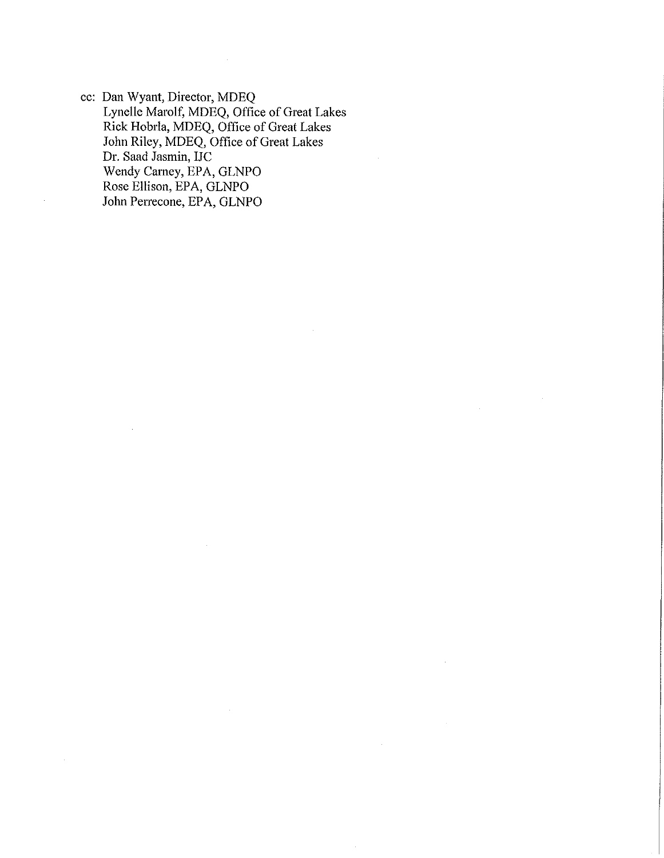cc: Dan Wyant, Director, MDEQ Lynelle Marolf, MDEQ, Office of Great Lakes Rick Hobrla, MDEQ, Office of Great Lakes John Riley, MDEQ, Office of Great Lakes Dr. Saad Jasmin, IJC Wendy Carney, EPA, GLNPO Rose Ellison, EPA, GLNPO John Perrecone, EPA, GLNPO

 $\sim$ 

 $\bar{z}$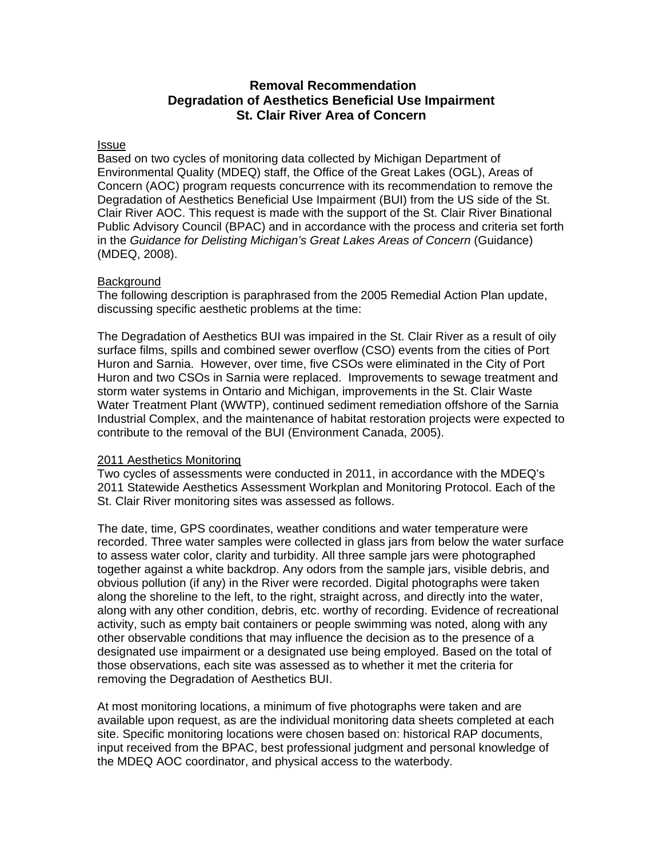# **Removal Recommendation Degradation of Aesthetics Beneficial Use Impairment St. Clair River Area of Concern**

#### **Issue**

Based on two cycles of monitoring data collected by Michigan Department of Environmental Quality (MDEQ) staff, the Office of the Great Lakes (OGL), Areas of Concern (AOC) program requests concurrence with its recommendation to remove the Degradation of Aesthetics Beneficial Use Impairment (BUI) from the US side of the St. Clair River AOC. This request is made with the support of the St. Clair River Binational Public Advisory Council (BPAC) and in accordance with the process and criteria set forth in the *Guidance for Delisting Michigan's Great Lakes Areas of Concern* (Guidance) (MDEQ, 2008).

#### **Background**

The following description is paraphrased from the 2005 Remedial Action Plan update, discussing specific aesthetic problems at the time:

The Degradation of Aesthetics BUI was impaired in the St. Clair River as a result of oily surface films, spills and combined sewer overflow (CSO) events from the cities of Port Huron and Sarnia. However, over time, five CSOs were eliminated in the City of Port Huron and two CSOs in Sarnia were replaced. Improvements to sewage treatment and storm water systems in Ontario and Michigan, improvements in the St. Clair Waste Water Treatment Plant (WWTP), continued sediment remediation offshore of the Sarnia Industrial Complex, and the maintenance of habitat restoration projects were expected to contribute to the removal of the BUI (Environment Canada, 2005).

#### 2011 Aesthetics Monitoring

Two cycles of assessments were conducted in 2011, in accordance with the MDEQ's 2011 Statewide Aesthetics Assessment Workplan and Monitoring Protocol. Each of the St. Clair River monitoring sites was assessed as follows.

The date, time, GPS coordinates, weather conditions and water temperature were recorded. Three water samples were collected in glass jars from below the water surface to assess water color, clarity and turbidity. All three sample jars were photographed together against a white backdrop. Any odors from the sample jars, visible debris, and obvious pollution (if any) in the River were recorded. Digital photographs were taken along the shoreline to the left, to the right, straight across, and directly into the water, along with any other condition, debris, etc. worthy of recording. Evidence of recreational activity, such as empty bait containers or people swimming was noted, along with any other observable conditions that may influence the decision as to the presence of a designated use impairment or a designated use being employed. Based on the total of those observations, each site was assessed as to whether it met the criteria for removing the Degradation of Aesthetics BUI.

At most monitoring locations, a minimum of five photographs were taken and are available upon request, as are the individual monitoring data sheets completed at each site. Specific monitoring locations were chosen based on: historical RAP documents, input received from the BPAC, best professional judgment and personal knowledge of the MDEQ AOC coordinator, and physical access to the waterbody.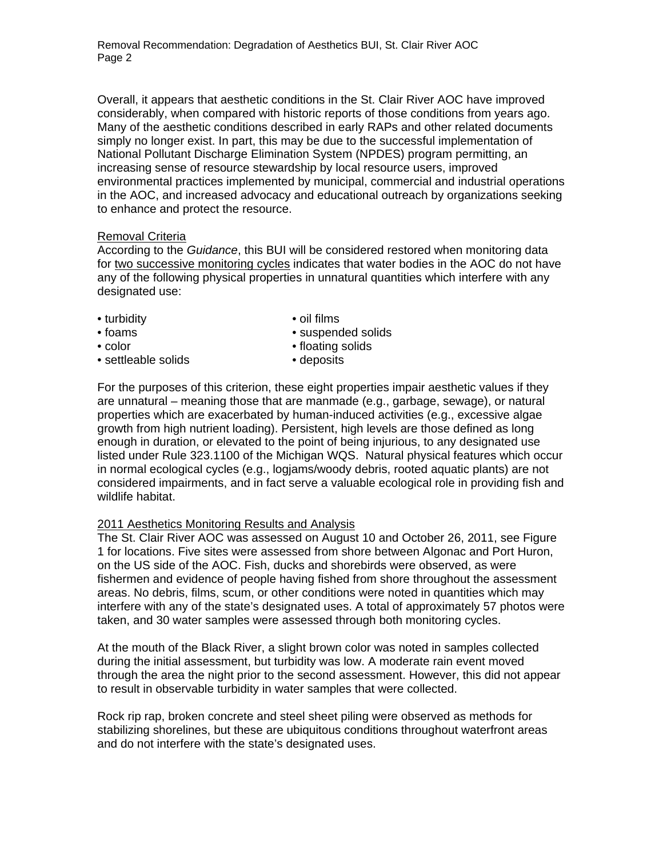Removal Recommendation: Degradation of Aesthetics BUI, St. Clair River AOC Page 2

Overall, it appears that aesthetic conditions in the St. Clair River AOC have improved considerably, when compared with historic reports of those conditions from years ago. Many of the aesthetic conditions described in early RAPs and other related documents simply no longer exist. In part, this may be due to the successful implementation of National Pollutant Discharge Elimination System (NPDES) program permitting, an increasing sense of resource stewardship by local resource users, improved environmental practices implemented by municipal, commercial and industrial operations in the AOC, and increased advocacy and educational outreach by organizations seeking to enhance and protect the resource.

### Removal Criteria

According to the *Guidance*, this BUI will be considered restored when monitoring data for two successive monitoring cycles indicates that water bodies in the AOC do not have any of the following physical properties in unnatural quantities which interfere with any designated use:

- turbidity oil films
- 
- 
- foams suspended solids
- color color floating solids
- settleable solids deposits

For the purposes of this criterion, these eight properties impair aesthetic values if they are unnatural – meaning those that are manmade (e.g., garbage, sewage), or natural properties which are exacerbated by human-induced activities (e.g., excessive algae growth from high nutrient loading). Persistent, high levels are those defined as long enough in duration, or elevated to the point of being injurious, to any designated use listed under Rule 323.1100 of the Michigan WQS. Natural physical features which occur in normal ecological cycles (e.g., logjams/woody debris, rooted aquatic plants) are not considered impairments, and in fact serve a valuable ecological role in providing fish and wildlife habitat.

## 2011 Aesthetics Monitoring Results and Analysis

The St. Clair River AOC was assessed on August 10 and October 26, 2011, see Figure 1 for locations. Five sites were assessed from shore between Algonac and Port Huron, on the US side of the AOC. Fish, ducks and shorebirds were observed, as were fishermen and evidence of people having fished from shore throughout the assessment areas. No debris, films, scum, or other conditions were noted in quantities which may interfere with any of the state's designated uses. A total of approximately 57 photos were taken, and 30 water samples were assessed through both monitoring cycles.

At the mouth of the Black River, a slight brown color was noted in samples collected during the initial assessment, but turbidity was low. A moderate rain event moved through the area the night prior to the second assessment. However, this did not appear to result in observable turbidity in water samples that were collected.

Rock rip rap, broken concrete and steel sheet piling were observed as methods for stabilizing shorelines, but these are ubiquitous conditions throughout waterfront areas and do not interfere with the state's designated uses.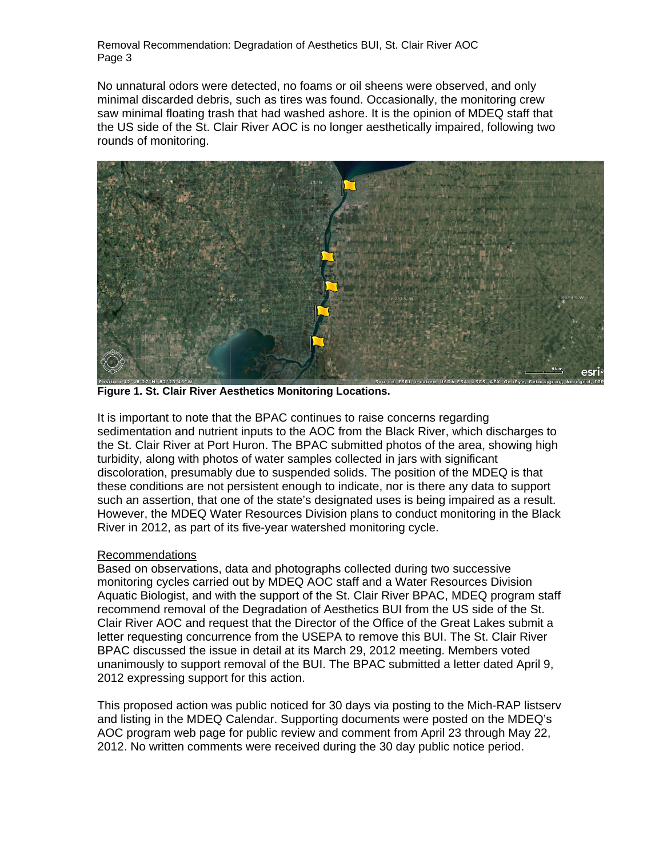Removal Recommendation: Degradation of Aesthetics BUI, St. Clair River AOC Page 3

No unnatural odors were detected, no foams or oil sheens were observed, and only minimal discarded debris, such as tires was found. Occasionally, the monitoring crew saw minimal floating trash that had washed ashore. It is the opinion of MDEQ staff that the US side of the St. Clair River AOC is no longer aesthetically impaired, following two rounds of monitoring.



**Figure 1. St. Clair River Aesthetics Monitoring Locations.**

It is important to note that the BPAC continues to raise concerns regarding sedimentation and nutrient inputs to the AOC from the Black River, which discharges to the St. Clair River at Port Huron. The BPAC submitted photos of the area, showing high turbidity, along with photos of water samples collected in jars with significant discoloration, presumably due to suspended solids. The position of the MDEQ is that these conditions are not persistent enough to indicate, nor is there any data to support such an assertion, that one of the state's designated uses is being impaired as a result. However, the MDEQ Water Resources Division plans to conduct monitoring in the Black River in 2012, as part of its five-year watershed monitoring cycle.

#### Recommendations

Based on observations, data and photographs collected during two successive monitoring cycles carried out by MDEQ AOC staff and a Water Resources Division Aquatic Biologist, and with the support of the St. Clair River BPAC, MDEQ program staff recommend removal of the Degradation of Aesthetics BUI from the US side of the St. Clair River AOC and request that the Director of the Office of the Great Lakes submit a letter requesting concurrence from the USEPA to remove this BUI. The St. Clair River BPAC discussed the issue in detail at its March 29, 2012 meeting. Members voted unanimously to support removal of the BUI. The BPAC submitted a letter dated April 9, 2012 expressing support for this action.

This proposed action was public noticed for 30 days via posting to the Mich-RAP listserv and listing in the MDEQ Calendar. Supporting documents were posted on the MDEQ's AOC program web page for public review and comment from April 23 through May 22, 2012. No written comments were received during the 30 day public notice period.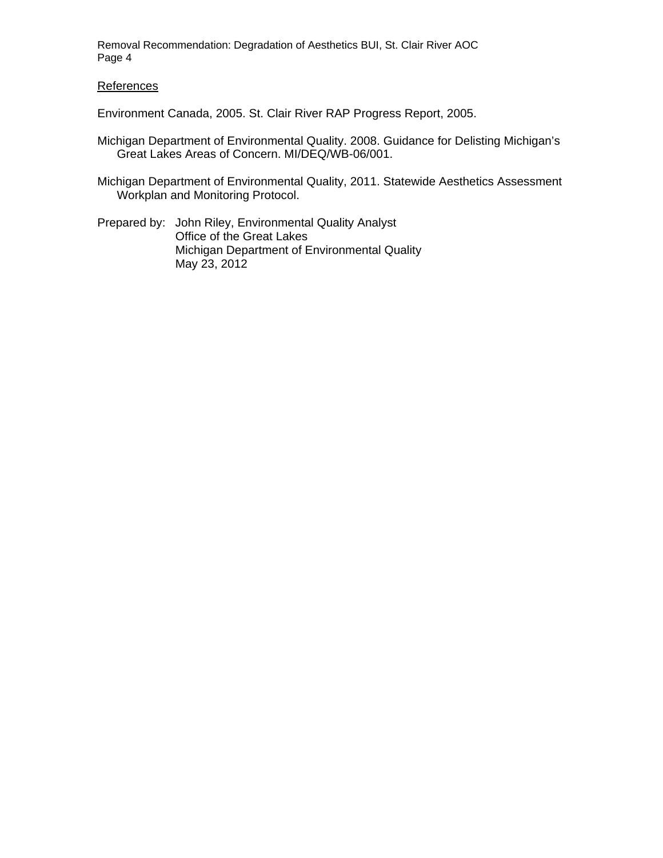Removal Recommendation: Degradation of Aesthetics BUI, St. Clair River AOC Page 4

#### References

Environment Canada, 2005. St. Clair River RAP Progress Report, 2005.

- Michigan Department of Environmental Quality. 2008. Guidance for Delisting Michigan's Great Lakes Areas of Concern. MI/DEQ/WB-06/001.
- Michigan Department of Environmental Quality, 2011. Statewide Aesthetics Assessment Workplan and Monitoring Protocol.
- Prepared by: John Riley, Environmental Quality Analyst Office of the Great Lakes Michigan Department of Environmental Quality May 23, 2012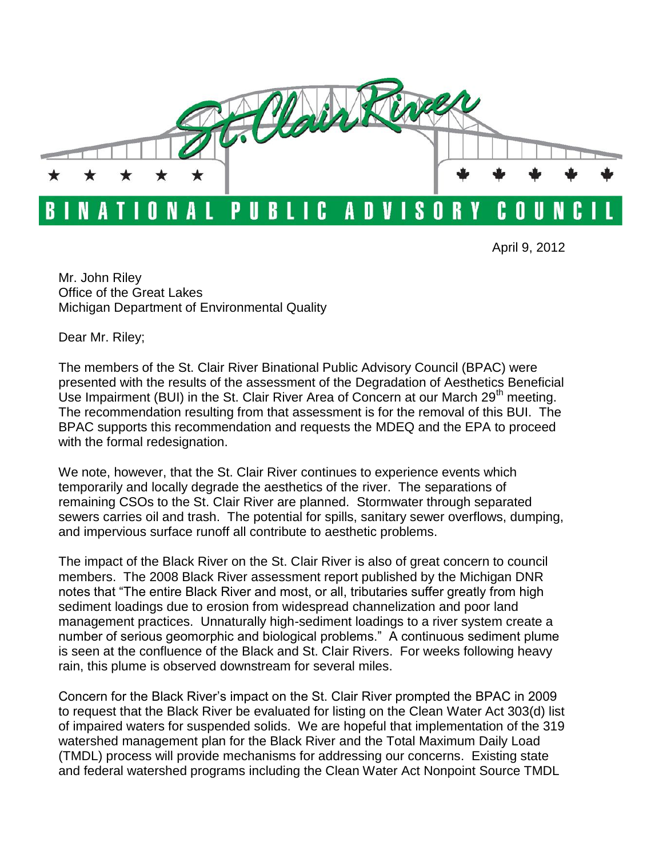

April 9, 2012

Mr. John Riley Office of the Great Lakes Michigan Department of Environmental Quality

Dear Mr. Riley;

The members of the St. Clair River Binational Public Advisory Council (BPAC) were presented with the results of the assessment of the Degradation of Aesthetics Beneficial Use Impairment (BUI) in the St. Clair River Area of Concern at our March 29<sup>th</sup> meeting. The recommendation resulting from that assessment is for the removal of this BUI. The BPAC supports this recommendation and requests the MDEQ and the EPA to proceed with the formal redesignation.

We note, however, that the St. Clair River continues to experience events which temporarily and locally degrade the aesthetics of the river. The separations of remaining CSOs to the St. Clair River are planned. Stormwater through separated sewers carries oil and trash. The potential for spills, sanitary sewer overflows, dumping, and impervious surface runoff all contribute to aesthetic problems.

The impact of the Black River on the St. Clair River is also of great concern to council members. The 2008 Black River assessment report published by the Michigan DNR notes that "The entire Black River and most, or all, tributaries suffer greatly from high sediment loadings due to erosion from widespread channelization and poor land management practices. Unnaturally high-sediment loadings to a river system create a number of serious geomorphic and biological problems." A continuous sediment plume is seen at the confluence of the Black and St. Clair Rivers. For weeks following heavy rain, this plume is observed downstream for several miles.

Concern for the Black River's impact on the St. Clair River prompted the BPAC in 2009 to request that the Black River be evaluated for listing on the Clean Water Act 303(d) list of impaired waters for suspended solids. We are hopeful that implementation of the 319 watershed management plan for the Black River and the Total Maximum Daily Load (TMDL) process will provide mechanisms for addressing our concerns. Existing state and federal watershed programs including the Clean Water Act Nonpoint Source TMDL